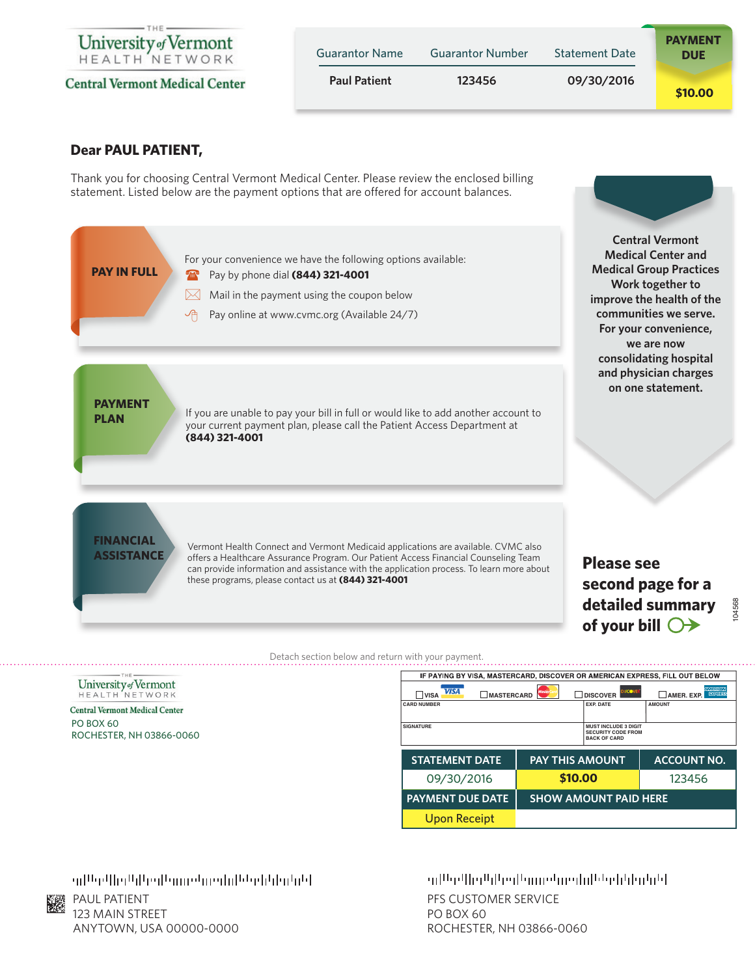

**Central Vermont Medical Center** 

| <b>Guarantor Name</b> | <b>Guarantor Number</b> | <b>Statement Date</b> | <b>PAYMENT</b><br><b>DUE</b> |
|-----------------------|-------------------------|-----------------------|------------------------------|
| <b>Paul Patient</b>   | 123456                  | 09/30/2016            | \$10,00                      |

### **Dear PAUL PATIENT,**

Thank you for choosing Central Vermont Medical Center. Please review the enclosed billing statement. Listed below are the payment options that are offered for account balances.

![](_page_0_Figure_4.jpeg)

Detach section below and return with your payment.

#### University of Vermont HEALTH NETWORK

#### **Central Vermont Medical Center** PO BOX 60 ROCHESTER, NH 03866-0060

| IF PAYING BY VISA, MASTERCARD, DISCOVER OR AMERICAN EXPRESS, FILL OUT BELOW |                        |                                                          |                                                         |
|-----------------------------------------------------------------------------|------------------------|----------------------------------------------------------|---------------------------------------------------------|
| <b>VISA</b><br><b>MASTERCARD</b><br><b>VISA</b>                             | Master                 | <b>DITCOVE</b><br><b>DISCOVER</b>                        | <b><i>AMERICAN</i></b><br><b>EXRA #55</b><br>AMER. EXP. |
| <b>CARD NUMBER</b>                                                          |                        | <b>EXP. DATE</b>                                         | <b>AMOUNT</b>                                           |
|                                                                             |                        |                                                          |                                                         |
| <b>SIGNATURE</b>                                                            |                        | <b>MUST INCLUDE 3 DIGIT</b><br><b>SECURITY CODE FROM</b> |                                                         |
|                                                                             |                        | <b>BACK OF CARD</b>                                      |                                                         |
|                                                                             |                        |                                                          |                                                         |
|                                                                             |                        |                                                          |                                                         |
| <b>STATEMENT DATE</b>                                                       | <b>PAY THIS AMOUNT</b> |                                                          | <b>ACCOUNT NO.</b>                                      |
|                                                                             |                        |                                                          |                                                         |
| 09/30/2016                                                                  | \$10.00                |                                                          | 123456                                                  |
| <b>PAYMENT DUE DATE</b>                                                     |                        | <b>SHOW AMOUNT PAID HERE</b>                             |                                                         |
| <b>Upon Receipt</b>                                                         |                        |                                                          |                                                         |

## իկվուկից հիմար հղությունից կինչմիր ու

PAUL PATIENT 123 MAIN STREET ANYTOWN, USA 00000-0000

# իկվային բերաբությունների հային այն ա

PFS CUSTOMER SERVICE PO BOX 60 ROCHESTER, NH 03866-0060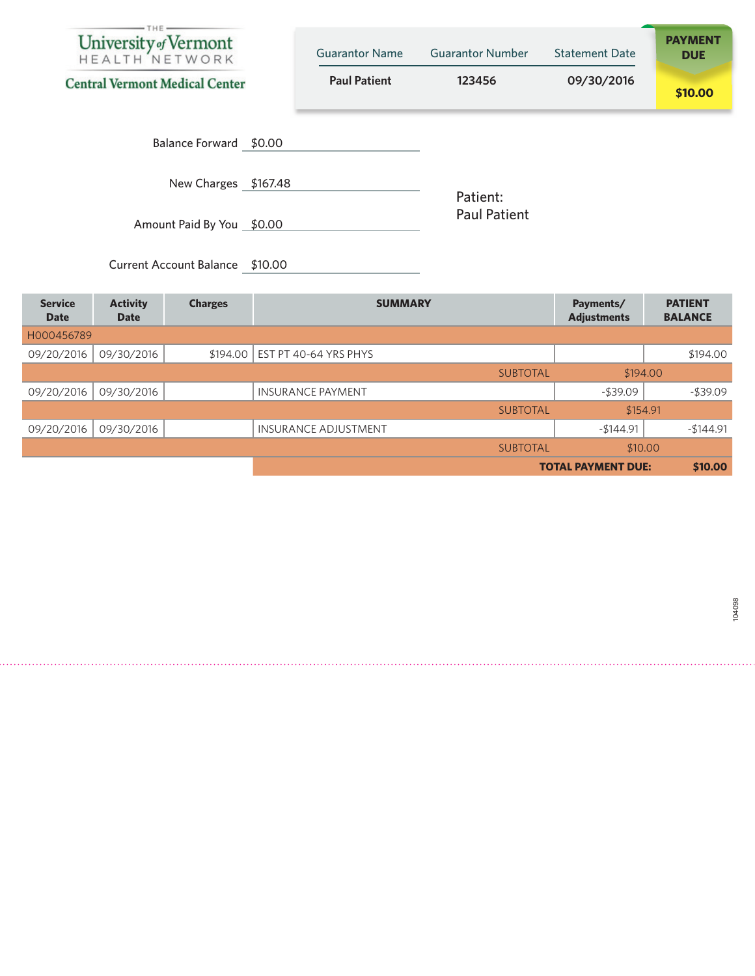| University of Vermont<br><b>Central Vermont Medical Center</b> | <b>Guarantor Name</b><br><b>Paul Patient</b> | <b>Guarantor Number</b><br>123456 | <b>Statement Date</b><br>09/30/2016 | <b>PAYMENT</b><br><b>DUE</b><br>\$10.00 |
|----------------------------------------------------------------|----------------------------------------------|-----------------------------------|-------------------------------------|-----------------------------------------|
| Balance Forward \$0.00                                         |                                              |                                   |                                     |                                         |
| New Charges \$167.48                                           |                                              | Patient:                          |                                     |                                         |
| Amount Paid By You \$0.00                                      |                                              | <b>Paul Patient</b>               |                                     |                                         |

| <b>Service</b><br><b>Date</b> | <b>Activity</b><br><b>Date</b> | <b>Charges</b> | <b>SUMMARY</b>              | Payments/<br><b>Adjustments</b> | <b>PATIENT</b><br><b>BALANCE</b> |
|-------------------------------|--------------------------------|----------------|-----------------------------|---------------------------------|----------------------------------|
| H000456789                    |                                |                |                             |                                 |                                  |
| 09/20/2016                    | 09/30/2016                     | \$194.00       | EST PT 40-64 YRS PHYS       |                                 | \$194.00                         |
|                               |                                |                | <b>SUBTOTAL</b>             |                                 | \$194.00                         |
| 09/20/2016                    | 09/30/2016                     |                | <b>INSURANCE PAYMENT</b>    | $-$ \$39.09                     | $-$ \$39.09                      |
|                               |                                |                | <b>SUBTOTAL</b>             |                                 | \$154.91                         |
| 09/20/2016                    | 09/30/2016                     |                | <b>INSURANCE ADJUSTMENT</b> | $-$144.91$                      | $-$144.91$                       |
|                               |                                |                | <b>SUBTOTAL</b>             | \$10,00                         |                                  |
|                               |                                |                |                             | <b>TOTAL PAYMENT DUE:</b>       | \$10.00                          |

Current Account Balance \$10.00

104098